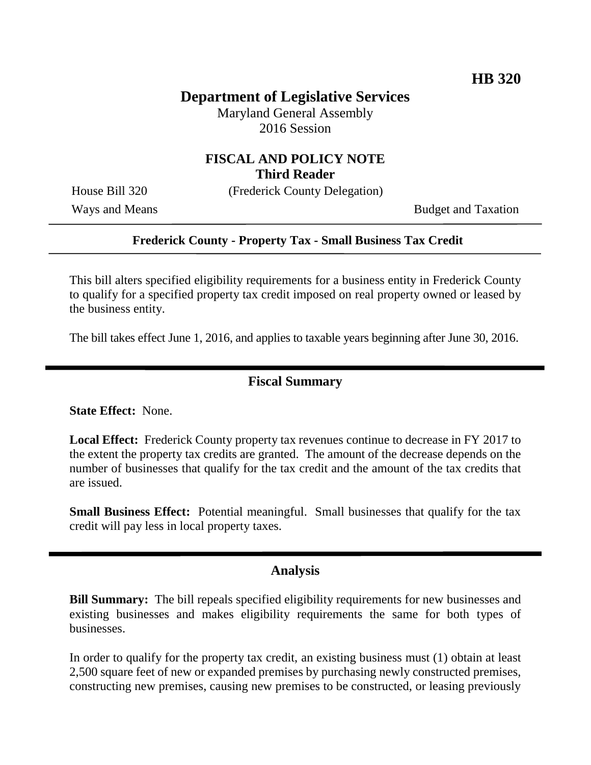# **Department of Legislative Services**

Maryland General Assembly 2016 Session

### **FISCAL AND POLICY NOTE Third Reader**

House Bill 320 (Frederick County Delegation)

Ways and Means Budget and Taxation

#### **Frederick County - Property Tax - Small Business Tax Credit**

This bill alters specified eligibility requirements for a business entity in Frederick County to qualify for a specified property tax credit imposed on real property owned or leased by the business entity.

The bill takes effect June 1, 2016, and applies to taxable years beginning after June 30, 2016.

#### **Fiscal Summary**

**State Effect:** None.

**Local Effect:** Frederick County property tax revenues continue to decrease in FY 2017 to the extent the property tax credits are granted. The amount of the decrease depends on the number of businesses that qualify for the tax credit and the amount of the tax credits that are issued.

**Small Business Effect:** Potential meaningful. Small businesses that qualify for the tax credit will pay less in local property taxes.

#### **Analysis**

**Bill Summary:** The bill repeals specified eligibility requirements for new businesses and existing businesses and makes eligibility requirements the same for both types of businesses.

In order to qualify for the property tax credit, an existing business must (1) obtain at least 2,500 square feet of new or expanded premises by purchasing newly constructed premises, constructing new premises, causing new premises to be constructed, or leasing previously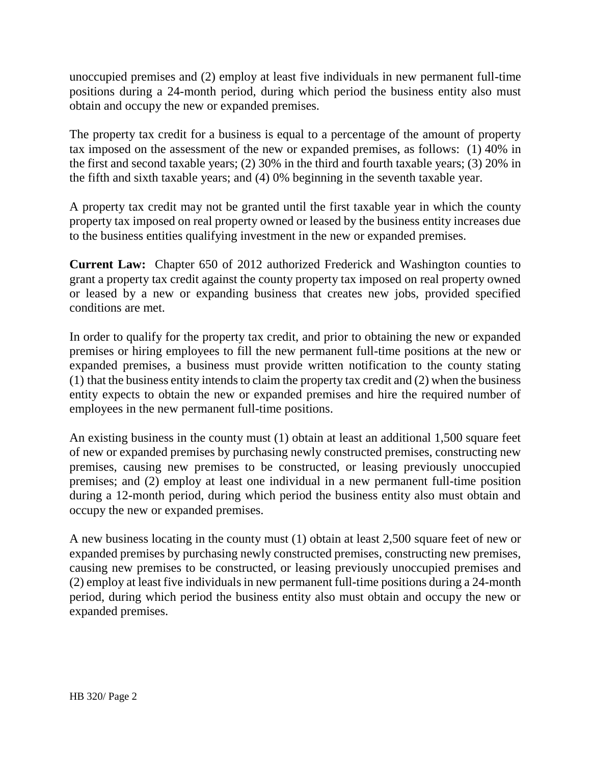unoccupied premises and (2) employ at least five individuals in new permanent full-time positions during a 24-month period, during which period the business entity also must obtain and occupy the new or expanded premises.

The property tax credit for a business is equal to a percentage of the amount of property tax imposed on the assessment of the new or expanded premises, as follows: (1) 40% in the first and second taxable years; (2) 30% in the third and fourth taxable years; (3) 20% in the fifth and sixth taxable years; and (4) 0% beginning in the seventh taxable year.

A property tax credit may not be granted until the first taxable year in which the county property tax imposed on real property owned or leased by the business entity increases due to the business entities qualifying investment in the new or expanded premises.

**Current Law:** Chapter 650 of 2012 authorized Frederick and Washington counties to grant a property tax credit against the county property tax imposed on real property owned or leased by a new or expanding business that creates new jobs, provided specified conditions are met.

In order to qualify for the property tax credit, and prior to obtaining the new or expanded premises or hiring employees to fill the new permanent full-time positions at the new or expanded premises, a business must provide written notification to the county stating (1) that the business entity intends to claim the property tax credit and (2) when the business entity expects to obtain the new or expanded premises and hire the required number of employees in the new permanent full-time positions.

An existing business in the county must (1) obtain at least an additional 1,500 square feet of new or expanded premises by purchasing newly constructed premises, constructing new premises, causing new premises to be constructed, or leasing previously unoccupied premises; and (2) employ at least one individual in a new permanent full-time position during a 12-month period, during which period the business entity also must obtain and occupy the new or expanded premises.

A new business locating in the county must (1) obtain at least 2,500 square feet of new or expanded premises by purchasing newly constructed premises, constructing new premises, causing new premises to be constructed, or leasing previously unoccupied premises and (2) employ at least five individuals in new permanent full-time positions during a 24-month period, during which period the business entity also must obtain and occupy the new or expanded premises.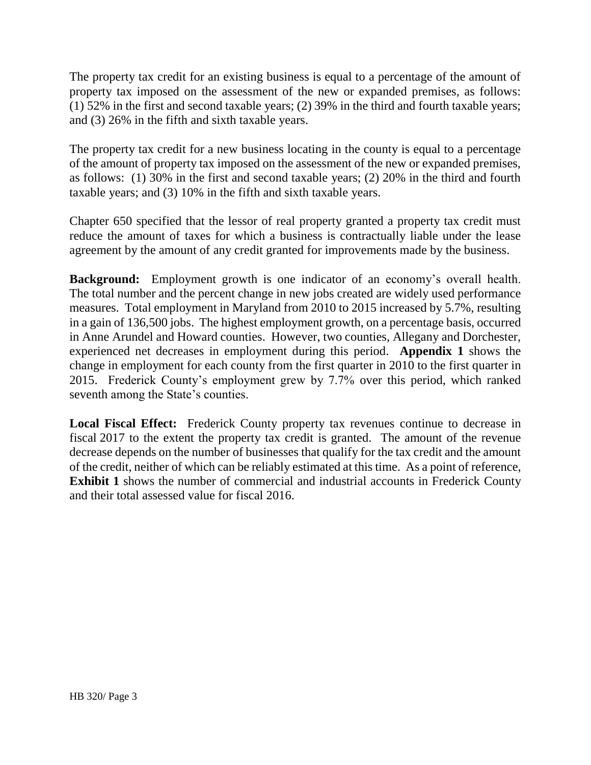The property tax credit for an existing business is equal to a percentage of the amount of property tax imposed on the assessment of the new or expanded premises, as follows: (1) 52% in the first and second taxable years; (2) 39% in the third and fourth taxable years; and (3) 26% in the fifth and sixth taxable years.

The property tax credit for a new business locating in the county is equal to a percentage of the amount of property tax imposed on the assessment of the new or expanded premises, as follows: (1) 30% in the first and second taxable years; (2) 20% in the third and fourth taxable years; and (3) 10% in the fifth and sixth taxable years.

Chapter 650 specified that the lessor of real property granted a property tax credit must reduce the amount of taxes for which a business is contractually liable under the lease agreement by the amount of any credit granted for improvements made by the business.

**Background:** Employment growth is one indicator of an economy's overall health. The total number and the percent change in new jobs created are widely used performance measures. Total employment in Maryland from 2010 to 2015 increased by 5.7%, resulting in a gain of 136,500 jobs. The highest employment growth, on a percentage basis, occurred in Anne Arundel and Howard counties. However, two counties, Allegany and Dorchester, experienced net decreases in employment during this period. **Appendix 1** shows the change in employment for each county from the first quarter in 2010 to the first quarter in 2015. Frederick County's employment grew by 7.7% over this period, which ranked seventh among the State's counties.

**Local Fiscal Effect:** Frederick County property tax revenues continue to decrease in fiscal 2017 to the extent the property tax credit is granted. The amount of the revenue decrease depends on the number of businesses that qualify for the tax credit and the amount of the credit, neither of which can be reliably estimated at this time. As a point of reference, **Exhibit 1** shows the number of commercial and industrial accounts in Frederick County and their total assessed value for fiscal 2016.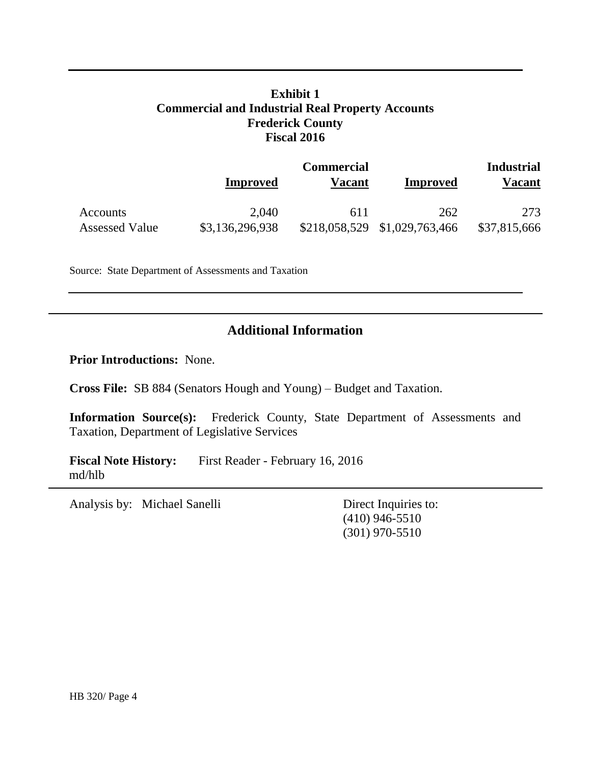## **Exhibit 1 Commercial and Industrial Real Property Accounts Frederick County Fiscal 2016**

|                       | Improved        | <b>Commercial</b><br>Vacant | Improved        | <b>Industrial</b><br>Vacant |  |
|-----------------------|-----------------|-----------------------------|-----------------|-----------------------------|--|
| Accounts              | 2,040           | 611                         | 262             | 273                         |  |
| <b>Assessed Value</b> | \$3,136,296,938 | \$218,058,529               | \$1,029,763,466 | \$37,815,666                |  |

Source: State Department of Assessments and Taxation

### **Additional Information**

**Prior Introductions:** None.

**Cross File:** SB 884 (Senators Hough and Young) – Budget and Taxation.

**Information Source(s):** Frederick County, State Department of Assessments and Taxation, Department of Legislative Services

Fiscal Note History: First Reader - February 16, 2016 md/hlb

Analysis by: Michael Sanelli Direct Inquiries to:

(410) 946-5510 (301) 970-5510